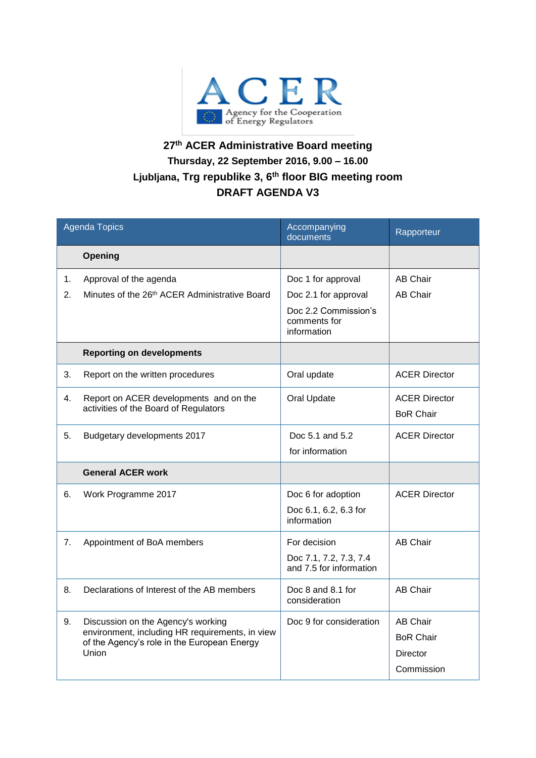

## **27 th ACER Administrative Board meeting Thursday, 22 September 2016, 9.00 – 16.00 Ljubljana, Trg republike 3, 6th floor BIG meeting room DRAFT AGENDA V3**

| <b>Agenda Topics</b> |                                                                                                                                               | Accompanying<br>documents                           | Rapporteur                               |
|----------------------|-----------------------------------------------------------------------------------------------------------------------------------------------|-----------------------------------------------------|------------------------------------------|
|                      | Opening                                                                                                                                       |                                                     |                                          |
| 1.                   | Approval of the agenda                                                                                                                        | Doc 1 for approval                                  | <b>AB Chair</b>                          |
| 2.                   | Minutes of the 26th ACER Administrative Board                                                                                                 | Doc 2.1 for approval                                | <b>AB Chair</b>                          |
|                      |                                                                                                                                               | Doc 2.2 Commission's<br>comments for<br>information |                                          |
|                      | <b>Reporting on developments</b>                                                                                                              |                                                     |                                          |
| 3.                   | Report on the written procedures                                                                                                              | Oral update                                         | <b>ACER Director</b>                     |
| 4.                   | Report on ACER developments and on the<br>activities of the Board of Regulators                                                               | Oral Update                                         | <b>ACER Director</b><br><b>BoR Chair</b> |
|                      |                                                                                                                                               |                                                     |                                          |
| 5.                   | Budgetary developments 2017                                                                                                                   | Doc 5.1 and 5.2                                     | <b>ACER Director</b>                     |
|                      |                                                                                                                                               | for information                                     |                                          |
|                      | <b>General ACER work</b>                                                                                                                      |                                                     |                                          |
| 6.                   | Work Programme 2017                                                                                                                           | Doc 6 for adoption                                  | <b>ACER Director</b>                     |
|                      |                                                                                                                                               | Doc 6.1, 6.2, 6.3 for<br>information                |                                          |
| 7.                   | Appointment of BoA members                                                                                                                    | For decision                                        | <b>AB Chair</b>                          |
|                      |                                                                                                                                               | Doc 7.1, 7.2, 7.3, 7.4<br>and 7.5 for information   |                                          |
| 8.                   | Declarations of Interest of the AB members                                                                                                    | Doc 8 and 8.1 for<br>consideration                  | <b>AB Chair</b>                          |
| 9.                   | Discussion on the Agency's working<br>environment, including HR requirements, in view<br>of the Agency's role in the European Energy<br>Union | Doc 9 for consideration                             | <b>AB Chair</b>                          |
|                      |                                                                                                                                               |                                                     | <b>BoR Chair</b>                         |
|                      |                                                                                                                                               |                                                     | Director                                 |
|                      |                                                                                                                                               |                                                     | Commission                               |
|                      |                                                                                                                                               |                                                     |                                          |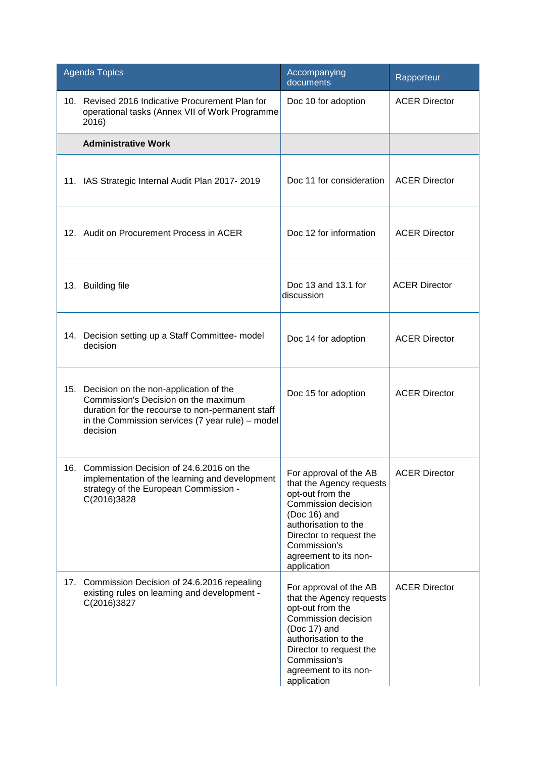| <b>Agenda Topics</b>                                                                                                                                                                                      | Accompanying<br>documents                                                                                                                                                                                                | Rapporteur           |
|-----------------------------------------------------------------------------------------------------------------------------------------------------------------------------------------------------------|--------------------------------------------------------------------------------------------------------------------------------------------------------------------------------------------------------------------------|----------------------|
| 10. Revised 2016 Indicative Procurement Plan for<br>operational tasks (Annex VII of Work Programme<br>2016)                                                                                               | Doc 10 for adoption                                                                                                                                                                                                      | <b>ACER Director</b> |
| <b>Administrative Work</b>                                                                                                                                                                                |                                                                                                                                                                                                                          |                      |
| 11. IAS Strategic Internal Audit Plan 2017-2019                                                                                                                                                           | Doc 11 for consideration                                                                                                                                                                                                 | <b>ACER Director</b> |
| 12. Audit on Procurement Process in ACER                                                                                                                                                                  | Doc 12 for information                                                                                                                                                                                                   | <b>ACER Director</b> |
| 13. Building file                                                                                                                                                                                         | Doc 13 and 13.1 for<br>discussion                                                                                                                                                                                        | <b>ACER Director</b> |
| 14. Decision setting up a Staff Committee- model<br>decision                                                                                                                                              | Doc 14 for adoption                                                                                                                                                                                                      | <b>ACER Director</b> |
| Decision on the non-application of the<br>15.<br>Commission's Decision on the maximum<br>duration for the recourse to non-permanent staff<br>in the Commission services (7 year rule) – model<br>decision | Doc 15 for adoption                                                                                                                                                                                                      | <b>ACER Director</b> |
| Commission Decision of 24.6.2016 on the<br>16.<br>implementation of the learning and development<br>strategy of the European Commission -<br>C(2016)3828                                                  | For approval of the AB<br>that the Agency requests<br>opt-out from the<br>Commission decision<br>(Doc 16) and<br>authorisation to the<br>Director to request the<br>Commission's<br>agreement to its non-<br>application | <b>ACER Director</b> |
| Commission Decision of 24.6.2016 repealing<br>17.<br>existing rules on learning and development -<br>C(2016)3827                                                                                          | For approval of the AB<br>that the Agency requests<br>opt-out from the<br>Commission decision<br>(Doc 17) and<br>authorisation to the<br>Director to request the<br>Commission's<br>agreement to its non-<br>application | <b>ACER Director</b> |